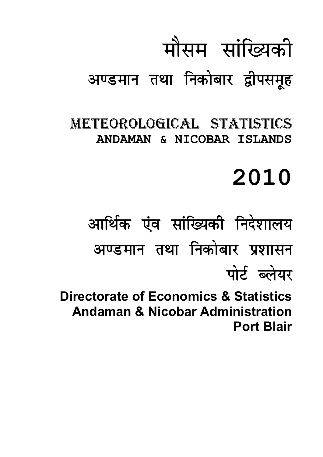# मौसम सांख्यिकी

## अण्डमान तथा निकोबार द्वीपसमूह

METEOROLOGICAL STATISTICS **ANDAMAN & NICOBAR ISLANDS** 

## **2010**

आर्थिक एंव सांख्यिकी निदेशालय अण्डमान तथा निकोबार प्रशासन पोर्ट ब्लेयर

**Directorate of Economics & Statistics Andaman & Nicobar Administration Port Blair**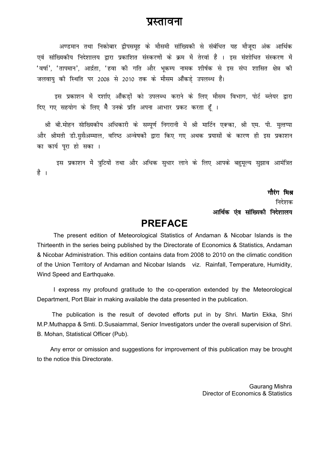### प्रस्तावना

अण्डमान तथा निकोबार द्वीपसमह के मौसमी सांख्यिकी से संबंधित यह मौजदा अंक आर्थिक एवं सांख्यिकीय निदेशालय द्वारा प्रकाशित संस्करणों के क्रम में तेरवां हैं । इस संशोधित संस्करण में 'वर्षा', 'तापमान', आर्द्रता, 'हवा की गति और भकम्प नामक शीर्षक से इस संघ शासित क्षेत्र की जलवाय की स्थिति पर 2008 से 2010 तक के मौसम आँकडे उपलब्ध है।

इस प्रकाशन में दर्शाए आँकडों को उपलब्ध कराने के लिए मौसम विभाग, पोर्ट ब्लेयर द्वारा दिए गए सहयोग के लिए मैं उनके प्रति अपना आभार प्रकट करता हूँ ।

श्री बी.मोहन सांख्यिकीय अधिकारी के सम्पूर्ण निगरानी में श्री मार्टिन एक्का, श्री एम. पी. मुत्तप्पा और श्रीमती डी.ससैअम्माल, वरिष्ठ अन्वेषकों द्वारा किए गए अथक प्रयासों के कारण ही इस प्रकाशन का कार्य पुरा हो सका ।

इस प्रकाशन में त्रुटियों तथा और अधिक सुधार लाने के लिए आपके बहुमूल्य सुझाव आमंत्रित है ।

> गौरंग मिश्र निदेशक आर्थिक एंव सांख्यिकी निदेशालय

### **PREFACE**

 The present edition of Meteorological Statistics of Andaman & Nicobar Islands is the Thirteenth in the series being published by the Directorate of Economics & Statistics, Andaman & Nicobar Administration. This edition contains data from 2008 to 2010 on the climatic condition of the Union Territory of Andaman and Nicobar Islands viz. Rainfall, Temperature, Humidity, Wind Speed and Earthquake.

 I express my profound gratitude to the co-operation extended by the Meteorological Department, Port Blair in making available the data presented in the publication.

 The publication is the result of devoted efforts put in by Shri. Martin Ekka, Shri M.P.Muthappa & Smti. D.Susaiammal, Senior Investigators under the overall supervision of Shri. B. Mohan, Statistical Officer (Pub).

 Any error or omission and suggestions for improvement of this publication may be brought to the notice this Directorate.

> Gaurang Mishra Director of Economics & Statistics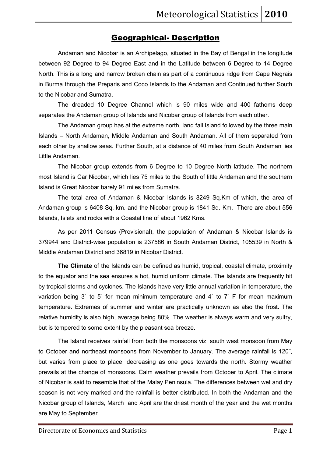### Geographical- Description

Andaman and Nicobar is an Archipelago, situated in the Bay of Bengal in the longitude between 92 Degree to 94 Degree East and in the Latitude between 6 Degree to 14 Degree North. This is a long and narrow broken chain as part of a continuous ridge from Cape Negrais in Burma through the Preparis and Coco Islands to the Andaman and Continued further South to the Nicobar and Sumatra.

The dreaded 10 Degree Channel which is 90 miles wide and 400 fathoms deep separates the Andaman group of Islands and Nicobar group of Islands from each other.

The Andaman group has at the extreme north, land fall Island followed by the three main Islands – North Andaman, Middle Andaman and South Andaman. All of them separated from each other by shallow seas. Further South, at a distance of 40 miles from South Andaman lies Little Andaman.

The Nicobar group extends from 6 Degree to 10 Degree North latitude. The northern most Island is Car Nicobar, which lies 75 miles to the South of little Andaman and the southern Island is Great Nicobar barely 91 miles from Sumatra.

The total area of Andaman & Nicobar Islands is 8249 Sq.Km of which, the area of Andaman group is 6408 Sq. km. and the Nicobar group is 1841 Sq. Km. There are about 556 Islands, Islets and rocks with a Coastal line of about 1962 Kms.

As per 2011 Census (Provisional), the population of Andaman & Nicobar Islands is 379944 and District-wise population is 237586 in South Andaman District, 105539 in North & Middle Andaman District and 36819 in Nicobar District.

**The Climate** of the Islands can be defined as humid, tropical, coastal climate, proximity to the equator and the sea ensures a hot, humid uniform climate. The Islands are frequently hit by tropical storms and cyclones. The Islands have very little annual variation in temperature, the variation being 3˚ to 5˚ for mean minimum temperature and 4˚ to 7˚ F for mean maximum temperature. Extremes of summer and winter are practically unknown as also the frost. The relative humidity is also high, average being 80%. The weather is always warm and very sultry, but is tempered to some extent by the pleasant sea breeze.

 The Island receives rainfall from both the monsoons viz. south west monsoon from May to October and northeast monsoons from November to January. The average rainfall is 120˝, but varies from place to place, decreasing as one goes towards the north. Stormy weather prevails at the change of monsoons. Calm weather prevails from October to April. The climate of Nicobar is said to resemble that of the Malay Peninsula. The differences between wet and dry season is not very marked and the rainfall is better distributed. In both the Andaman and the Nicobar group of Islands, March and April are the driest month of the year and the wet months are May to September.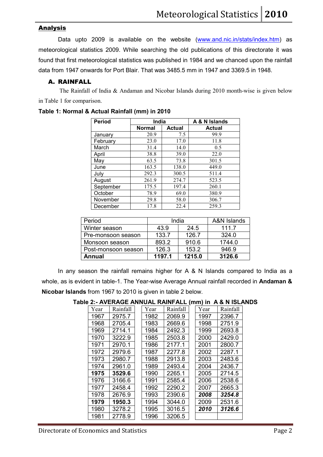### Analysis

Data upto 2009 is available on the website (www.and.nic.in/stats/index.htm) as meteorological statistics 2009. While searching the old publications of this directorate it was found that first meteorological statistics was published in 1984 and we chanced upon the rainfall data from 1947 onwards for Port Blair. That was 3485.5 mm in 1947 and 3369.5 in 1948.

### A. RAINFALL

 The Rainfall of India & Andaman and Nicobar Islands during 2010 month-wise is given below in Table 1 for comparison.

| <b>Period</b> |               | India         |               |
|---------------|---------------|---------------|---------------|
|               | <b>Normal</b> | <b>Actual</b> | <b>Actual</b> |
| January       | 20.9          | 7.5           | 99.9          |
| February      | 23.0          | 17.0          | 11.8          |
| March         | 31.4          | 14.0          | 0.5           |
| April         | 38.8          | 39.0          | 22.0          |
| May           | 63.5          | 73.8          | 301.5         |
| June          | 163.5         | 138.0         | 449.0         |
| July          | 292.3         | 300.5         | 511.4         |
| August        | 261.9         | 274.7         | 523.5         |
| September     | 175.5         | 197.4         | 260.1         |
| October       | 78.9          | 69.0          | 380.9         |
| November      | 29.8          | 58.0          | 306.7         |
| December      | 17.8          | 22.4          | 259.3         |

### **Table 1: Normal & Actual Rainfall (mm) in 2010**

| Period              | India  | A&N Islands |        |
|---------------------|--------|-------------|--------|
| Winter season       | 43.9   | 24.5        | 1117   |
| Pre-monsoon season  | 133.7  | 126.7       | 324.0  |
| Monsoon season      | 893.2  | 910.6       | 1744.0 |
| Post-monsoon season | 126.3  | 153.2       | 946.9  |
| Annual              | 1197.1 | 1215.0      | 3126.6 |

In any season the rainfall remains higher for A & N Islands compared to India as a whole, as is evident in table-1. The Year-wise Average Annual rainfall recorded in **Andaman & Nicobar Islands** from 1967 to 2010 is given in table 2 below.

| Year | Rainfall | Year | Rainfall | Year | Rainfall |
|------|----------|------|----------|------|----------|
| 1967 | 2975.7   | 1982 | 2069.9   | 1997 | 2396.7   |
| 1968 | 2705.4   | 1983 | 2669.6   | 1998 | 2751.9   |
| 1969 | 2714.1   | 1984 | 2492.3   | 1999 | 2693.8   |
| 1970 | 3222.9   | 1985 | 2503.8   | 2000 | 2429.0   |
| 1971 | 2970.1   | 1986 | 2177.1   | 2001 | 2800.7   |
| 1972 | 2979.6   | 1987 | 2277.8   | 2002 | 2287.1   |
| 1973 | 2980.7   | 1988 | 2913.8   | 2003 | 2483.6   |
| 1974 | 2961.0   | 1989 | 2493.4   | 2004 | 2436.7   |
| 1975 | 3529.6   | 1990 | 2265.1   | 2005 | 2714.5   |
| 1976 | 3166.6   | 1991 | 2585.4   | 2006 | 2538.6   |
| 1977 | 2458.4   | 1992 | 2290.2   | 2007 | 2665.3   |
| 1978 | 2676.9   | 1993 | 2390.6   | 2008 | 3254.8   |
| 1979 | 1950.3   | 1994 | 3044.0   | 2009 | 2531.6   |
| 1980 | 3278.2   | 1995 | 3016.5   | 2010 | 3126.6   |
| 1981 | 2778.9   | 1996 | 3206.5   |      |          |

### **Table 2:- AVERAGE ANNUAL RAINFALL (mm) in A & N ISLANDS**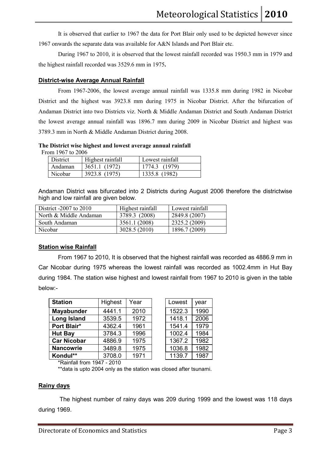It is observed that earlier to 1967 the data for Port Blair only used to be depicted however since 1967 onwards the separate data was available for A&N Islands and Port Blair etc.

During 1967 to 2010, it is observed that the lowest rainfall recorded was 1950.3 mm in 1979 and the highest rainfall recorded was 3529.6 mm in 1975**.**

### **District-wise Average Annual Rainfall**

From 1967-2006, the lowest average annual rainfall was 1335.8 mm during 1982 in Nicobar District and the highest was 3923.8 mm during 1975 in Nicobar District. After the bifurcation of Andaman District into two Districts viz. North & Middle Andaman District and South Andaman District the lowest average annual rainfall was 1896.7 mm during 2009 in Nicobar District and highest was 3789.3 mm in North & Middle Andaman District during 2008.

### **The District wise highest and lowest average annual rainfall**

From 1967 to 2006

| District | Highest rainfall | Lowest rainfall |
|----------|------------------|-----------------|
| Andaman  | 3651.1 (1972)    | 1774.3 (1979)   |
| Nicobar  | 3923.8 (1975)    | 1335.8 (1982)   |

Andaman District was bifurcated into 2 Districts during August 2006 therefore the districtwise high and low rainfall are given below.

| District $-2007$ to $2010$ | Highest rainfall | Lowest rainfall |
|----------------------------|------------------|-----------------|
| North & Middle Andaman     | 3789.3 (2008)    | 2849.8 (2007)   |
| South Andaman              | 3561.1 (2008)    | 2325.2 (2009)   |
| Nicobar                    | 3028.5 (2010)    | 1896.7 (2009)   |

### **Station wise Rainfall**

From 1967 to 2010, It is observed that the highest rainfall was recorded as 4886.9 mm in Car Nicobar during 1975 whereas the lowest rainfall was recorded as 1002.4mm in Hut Bay during 1984. The station wise highest and lowest rainfall from 1967 to 2010 is given in the table below:-

| <b>Station</b>     | Highest | Year | Lowest | year |
|--------------------|---------|------|--------|------|
| Mayabunder         | 4441.1  | 2010 | 1522.3 | 1990 |
| <b>Long Island</b> | 3539.5  | 1972 | 1418.1 | 2006 |
| Port Blair*        | 4362.4  | 1961 | 1541.4 | 1979 |
| <b>Hut Bay</b>     | 3784.3  | 1996 | 1002.4 | 1984 |
| <b>Car Nicobar</b> | 4886.9  | 1975 | 1367.2 | 1982 |
| <b>Nancowrie</b>   | 3489.8  | 1975 | 1036.8 | 1982 |
| Kondul**           | 3708.0  | 1971 | 1139.7 | 1987 |

| Lowest | year |
|--------|------|
| 1522.3 | 1990 |
| 1418.1 | 2006 |
| 1541.4 | 1979 |
| 1002.4 | 1984 |
| 1367.2 | 1982 |
| 1036.8 | 1982 |
| 1139.7 | 1987 |

\*Rainfall from 1947 - 2010

\*\*data is upto 2004 only as the station was closed after tsunami.

### **Rainy days**

 The highest number of rainy days was 209 during 1999 and the lowest was 118 days during 1969.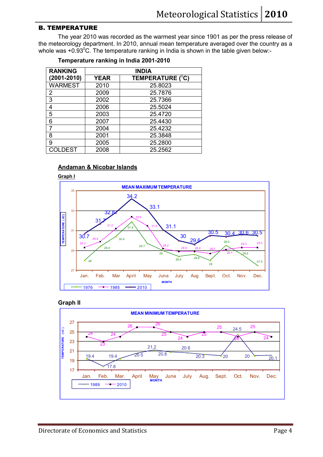### B. TEMPERATURE

The year 2010 was recorded as the warmest year since 1901 as per the press release of the meteorology department. In 2010, annual mean temperature averaged over the country as a whole was  $+0.93^{\circ}$ C. The temperature ranking in India is shown in the table given below:-

| <b>RANKING</b>  | <b>INDIA</b> |                               |  |  |  |
|-----------------|--------------|-------------------------------|--|--|--|
| $(2001 - 2010)$ | <b>YEAR</b>  | TEMPERATURE ( <sup>0</sup> C) |  |  |  |
| <b>WARMEST</b>  | 2010         | 25.8023                       |  |  |  |
| 2               | 2009         | 25.7876                       |  |  |  |
| 3               | 2002         | 25.7366                       |  |  |  |
| 4               | 2006         | 25.5024                       |  |  |  |
| 5               | 2003         | 25.4720                       |  |  |  |
| 6               | 2007         | 25.4430                       |  |  |  |
|                 | 2004         | 25.4232                       |  |  |  |
| 8               | 2001         | 25.3848                       |  |  |  |
| 9               | 2005         | 25.2800                       |  |  |  |
| COLDEST         | 2008         | 25.2562                       |  |  |  |

### **Andaman & Nicobar Islands**





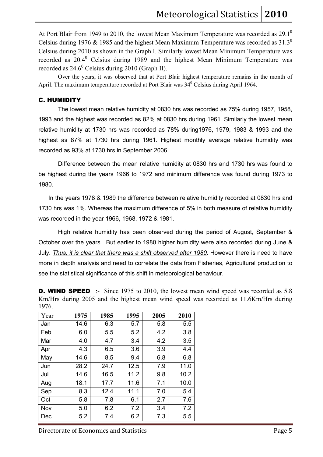At Port Blair from 1949 to 2010, the lowest Mean Maximum Temperature was recorded as  $29.1^\circ$ Celsius during 1976 & 1985 and the highest Mean Maximum Temperature was recorded as  $31.3^\circ$ Celsius during 2010 as shown in the Graph I. Similarly lowest Mean Minimum Temperature was recorded as  $20.4^{\circ}$  Celsius during 1989 and the highest Mean Minimum Temperature was recorded as  $24.6^{\circ}$  Celsius during 2010 (Graph II).

Over the years, it was observed that at Port Blair highest temperature remains in the month of April. The maximum temperature recorded at Port Blair was  $34^{\circ}$  Celsius during April 1964.

### C. HUMIDITY

The lowest mean relative humidity at 0830 hrs was recorded as 75% during 1957, 1958, 1993 and the highest was recorded as 82% at 0830 hrs during 1961. Similarly the lowest mean relative humidity at 1730 hrs was recorded as 78% during1976, 1979, 1983 & 1993 and the highest as 87% at 1730 hrs during 1961. Highest monthly average relative humidity was recorded as 93% at 1730 hrs in September 2006.

 Difference between the mean relative humidity at 0830 hrs and 1730 hrs was found to be highest during the years 1966 to 1972 and minimum difference was found during 1973 to 1980.

 In the years 1978 & 1989 the difference between relative humidity recorded at 0830 hrs and 1730 hrs was 1%. Whereas the maximum difference of 5% in both measure of relative humidity was recorded in the year 1966, 1968, 1972 & 1981.

 High relative humidity has been observed during the period of August, September & October over the years. But earlier to 1980 higher humidity were also recorded during June & July. *Thus, it is clear that there was a shift observed after 1980*. However there is need to have more in depth analysis and need to correlate the data from Fisheries, Agricultural production to see the statistical significance of this shift in meteorological behaviour.

**D. WIND SPEED** :- Since 1975 to 2010, the lowest mean wind speed was recorded as 5.8 Km/Hrs during 2005 and the highest mean wind speed was recorded as 11.6Km/Hrs during 1976.

| Year | 1975 | 1985 | 1995 | 2005 | 2010 |
|------|------|------|------|------|------|
| Jan  | 14.6 | 6.3  | 5.7  | 5.8  | 5.5  |
| Feb  | 6.0  | 5.5  | 5.2  | 4.2  | 3.8  |
| Mar  | 4.0  | 4.7  | 3.4  | 4.2  | 3.5  |
| Apr  | 4.3  | 6.5  | 3.6  | 3.9  | 4.4  |
| May  | 14.6 | 8.5  | 9.4  | 6.8  | 6.8  |
| Jun  | 28.2 | 24.7 | 12.5 | 7.9  | 11.0 |
| Jul  | 14.6 | 16.5 | 11.2 | 9.8  | 10.2 |
| Aug  | 18.1 | 17.7 | 11.6 | 7.1  | 10.0 |
| Sep  | 8.3  | 12.4 | 11.1 | 7.0  | 5.4  |
| Oct  | 5.8  | 7.8  | 6.1  | 2.7  | 7.6  |
| Nov  | 5.0  | 6.2  | 7.2  | 3.4  | 7.2  |
| Dec  | 5.2  | 7.4  | 6.2  | 7.3  | 5.5  |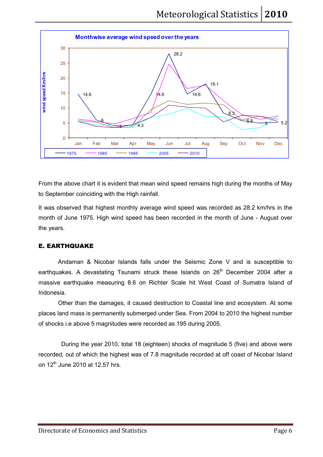

From the above chart it is evident that mean wind speed remains high during the months of May to September coinciding with the High rainfall.

It was observed that highest monthly average wind speed was recorded as 28.2 km/hrs in the month of June 1975. High wind speed has been recorded in the month of June - August over the years.

### E. EARTHQUAKE

Andaman & Nicobar Islands falls under the Seismic Zone V and is susceptible to earthquakes. A devastating Tsunami struck these Islands on 26<sup>th</sup> December 2004 after a massive earthquake measuring 8.6 on Richter Scale hit West Coast of Sumatra Island of Indonesia.

Other than the damages, it caused destruction to Coastal line and ecosystem. At some places land mass is permanently submerged under Sea. From 2004 to 2010 the highest number of shocks i.e above 5 magnitudes were recorded as 195 during 2005.

 During the year 2010, total 18 (eighteen) shocks of magnitude 5 (five) and above were recorded, out of which the highest was of 7.8 magnitude recorded at off coast of Nicobar Island on  $12^{th}$  June 2010 at 12.57 hrs.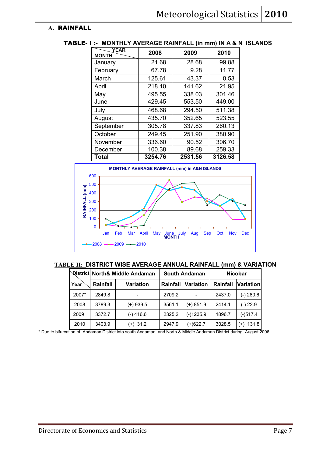### **A.** RAINFALL

| <b>YEAR</b><br><b>MONTH</b> | 2008    | 2009    | 2010    |
|-----------------------------|---------|---------|---------|
| January                     | 21.68   | 28.68   | 99.88   |
| February                    | 67.78   | 9.28    | 11.77   |
| March                       | 125.61  | 43.37   | 0.53    |
| April                       | 218.10  | 141.62  | 21.95   |
| May                         | 495.55  | 338.03  | 301.46  |
| June                        | 429.45  | 553.50  | 449.00  |
| July                        | 468.68  | 294.50  | 511.38  |
| August                      | 435.70  | 352.65  | 523.55  |
| September                   | 305.78  | 337.83  | 260.13  |
| October                     | 249.45  | 251.90  | 380.90  |
| November                    | 336.60  | 90.52   | 306.70  |
| December                    | 100.38  | 89.68   | 259.33  |
| Total                       | 3254.76 | 2531.56 | 3126.58 |

### TABLE- I :- **MONTHLY AVERAGE RAINFALL (in mm) IN A & N ISLANDS**



**TABLE II: DISTRICT WISE AVERAGE ANNUAL RAINFALL (mm) & VARIATION** 

|       | <b>Qistrict North&amp; Middle Andaman</b> |                  |        | <b>South Andaman</b>        |          | <b>Nicobar</b>   |  |  |
|-------|-------------------------------------------|------------------|--------|-----------------------------|----------|------------------|--|--|
| Year  | Rainfall                                  | <b>Variation</b> |        | <b>Rainfall   Variation</b> | Rainfall | <b>Variation</b> |  |  |
| 2007* | 2849.8                                    |                  | 2709.2 |                             | 2437.0   | (-) 260.6        |  |  |
| 2008  | 3789.3                                    | (+) 939.5        | 3561.1 | $(+)$ 851.9                 | 2414.1   | $(-) 22.9$       |  |  |
| 2009  | 3372.7                                    | $(-)$ 416.6      | 2325.2 | $(-)1235.9$                 | 1896.7   | $(-)517.4$       |  |  |
| 2010  | 3403.9                                    | $(+)$ 31.2       | 2947.9 | $(+)622.7$                  | 3028.5   | $(+)1131.8$      |  |  |

\* Due to bifurcation of Andaman District into south Andaman and North & Middle Andaman District during August 2006.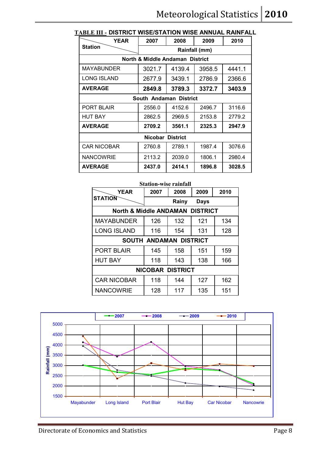| <b>YEAR</b>        | 2007                            | 2008   | 2009          | 2010   |
|--------------------|---------------------------------|--------|---------------|--------|
| <b>Station</b>     |                                 |        | Rainfall (mm) |        |
|                    | North & Middle Andaman District |        |               |        |
| MAYABUNDER         | 3021.7                          | 4139.4 | 3958.5        | 4441.1 |
| <b>LONG ISLAND</b> | 2677.9                          | 3439.1 | 2786.9        | 2366.6 |
| <b>AVERAGE</b>     | 2849.8                          | 3789.3 | 3372.7        | 3403.9 |
|                    | South Andaman District          |        |               |        |
| PORT BLAIR         | 2556.0                          | 4152.6 |               | 3116.6 |
| <b>HUT BAY</b>     | 2862.5                          | 2969.5 | 2153.8        | 2779.2 |
| <b>AVERAGE</b>     | 2709.2                          | 3561.1 | 2325.3        | 2947.9 |
|                    | Nicobar District                |        |               |        |
| <b>CAR NICOBAR</b> | 2760.8                          | 2789.1 | 1987.4        | 3076.6 |
| <b>NANCOWRIE</b>   | 2113.2                          | 2039.0 |               | 2980.4 |
| <b>AVERAGE</b>     | 2437.0                          | 2414.1 | 1896.8        | 3028.5 |

### **TABLE III - DISTRICT WISE/STATION WISE ANNUAL RAINFALL**

| <b>Station-wise rainfall</b>               |      |                               |      |      |  |  |  |
|--------------------------------------------|------|-------------------------------|------|------|--|--|--|
| <b>YEAR</b>                                | 2007 | 2008                          | 2009 | 2010 |  |  |  |
| <b>STATION</b>                             |      | Rainy                         | Days |      |  |  |  |
| <b>North &amp; Middle ANDAMAN DISTRICT</b> |      |                               |      |      |  |  |  |
| <b>MAYABUNDER</b>                          | 126  | 132                           | 121  | 134  |  |  |  |
| <b>LONG ISLAND</b>                         | 116  | 154                           | 131  | 128  |  |  |  |
|                                            |      | <b>SOUTH ANDAMAN DISTRICT</b> |      |      |  |  |  |
| <b>PORT BLAIR</b>                          | 145  | 158                           | 151  | 159  |  |  |  |
| <b>HUT BAY</b>                             | 118  | 143                           | 138  | 166  |  |  |  |
| <b>NICOBAR DISTRICT</b>                    |      |                               |      |      |  |  |  |
| <b>CAR NICOBAR</b>                         | 118  | 144                           | 127  | 162  |  |  |  |
| <b>NANCOWRIE</b>                           | 128  | 117                           | 135  | 151  |  |  |  |

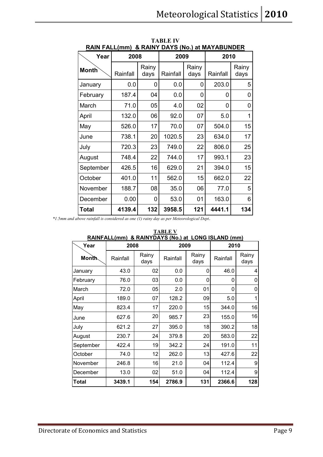| <u>RAIN FALL(mm) &amp;RAINY DAYS (No.) at MAYABUNDER</u> |          |               |          |               |          |               |  |
|----------------------------------------------------------|----------|---------------|----------|---------------|----------|---------------|--|
| Year                                                     | 2008     |               | 2009     |               | 2010     |               |  |
| <b>Month</b>                                             | Rainfall | Rainy<br>days | Rainfall | Rainy<br>days | Rainfall | Rainy<br>days |  |
| January                                                  | 0.0      | 0             | 0.0      | 0             | 203.0    | 5             |  |
| February                                                 | 187.4    | 04            | 0.0      | 0             | 0        | 0             |  |
| March                                                    | 71.0     | 05            | 4.0      | 02            | 0        | 0             |  |
| April                                                    | 132.0    | 06            | 92.0     | 07            | 5.0      | 1             |  |
| May                                                      | 526.0    | 17            | 70.0     | 07            | 504.0    | 15            |  |
| June                                                     | 738.1    | 20            | 1020.5   | 23            | 634.0    | 17            |  |
| July                                                     | 720.3    | 23            | 749.0    | 22            | 806.0    | 25            |  |
| August                                                   | 748.4    | 22            | 744.0    | 17            | 993.1    | 23            |  |
| September                                                | 426.5    | 16            | 629.0    | 21            | 394.0    | 15            |  |
| October                                                  | 401.0    | 11            | 562.0    | 15            | 662.0    | 22            |  |
| November                                                 | 188.7    | 08            | 35.0     | 06            | 77.0     | 5             |  |
| December                                                 | 0.00     | 0             | 53.0     | 01            | 163.0    | 6             |  |
| Total                                                    | 4139.4   | 132           | 3958.5   | 121           | 4441.1   | 134           |  |

**TABLE IV** 

 *\*1.5mm and above rainfall is considered as one (1) rainy day as per Meteorological Dept*.

| <u>RAINFALL(mm) &amp; RAINYDAYS (No.) at LONG ISLAND (mm)</u> |          |               |          |               |          |               |  |
|---------------------------------------------------------------|----------|---------------|----------|---------------|----------|---------------|--|
| Year                                                          | 2008     |               | 2009     |               |          | 2010          |  |
| <b>Month</b>                                                  | Rainfall | Rainy<br>days | Rainfall | Rainy<br>days | Rainfall | Rainy<br>days |  |
| January                                                       | 43.0     | 02            | 0.0      | 0             | 46.0     | 4             |  |
| February                                                      | 76.0     | 03            | 0.0      | 0             | 0        | 0             |  |
| March                                                         | 72.0     | 05            | 2.0      | 01            | 0        | 0             |  |
| April                                                         | 189.0    | 07            | 128.2    | 09            | 5.0      | 1             |  |
| May                                                           | 823.4    | 17            | 220.0    | 15            | 344.0    | 16            |  |
| June                                                          | 627.6    | 20            | 985.7    | 23            | 155.0    | 16            |  |
| July                                                          | 621.2    | 27            | 395.0    | 18            | 390.2    | 18            |  |
| August                                                        | 230.7    | 24            | 379.8    | 20            | 583.0    | 22            |  |
| September                                                     | 422.4    | 19            | 342.2    | 24            | 191.0    | 11            |  |
| October                                                       | 74.0     | 12            | 262.0    | 13            | 427.6    | 22            |  |
| November                                                      | 246.8    | 16            | 21.0     | 04            | 112.4    | 9             |  |
| December                                                      | 13.0     | 02            | 51.0     | 04            | 112.4    | 9             |  |
| Total                                                         | 3439.1   | 154           | 2786.9   | 131           | 2366.6   | 128           |  |

**TABLE V RAINFALL(mm) & RAINYDAYS (No.) at LONG ISLAND (mm)**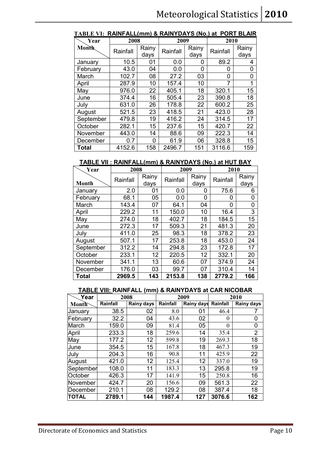| Year         | 2008     |               | 2009     |               | 2010     |               |
|--------------|----------|---------------|----------|---------------|----------|---------------|
| <b>Month</b> | Rainfall | Rainy<br>days | Rainfall | Rainy<br>days | Rainfall | Rainy<br>days |
| January      | 10.5     | 01            | 0.0      | 0             | 89.2     | 4             |
| February     | 43.0     | 04            | 0.0      | 0             | 0        | 0             |
| March        | 102.7    | 08            | 27.2     | 03            | 0        | 0             |
| April        | 287.9    | 10            | 157.4    | 10            | 7        | 1             |
| May          | 976.0    | 22            | 405.1    | 18            | 320.1    | 15            |
| June         | 374.4    | 16            | 505.4    | 23            | 390.8    | 18            |
| July         | 631.0    | 26            | 178.8    | 22            | 600.2    | 25            |
| August       | 521.5    | 23            | 418.5    | 21            | 423.0    | 28            |
| September    | 479.8    | 19            | 416.2    | 24            | 314.5    | 17            |
| October      | 282.1    | 15            | 237.6    | 15            | 420.7    | 22            |
| November     | 443.0    | 14            | 88.6     | 09            | 222.3    | 14            |
| December     | 0.7      | 0             | 61.9     | 06            | 328.8    | 15            |
| Total        | 4152.6   | 158           | 2496.7   | 151           | 3116.6   | 159           |

### **TABLE VI: RAINFALL(mm) & RAINYDAYS (No.) at PORT BLAIR**

### **TABLE VII : RAINFALL(mm) & RAINYDAYS (No.) at HUT BAY**

| Year         | 2008     |                 | 2009     |               | 2010     |               |
|--------------|----------|-----------------|----------|---------------|----------|---------------|
| <b>Month</b> | Rainfall | Rainy<br>days   | Rainfall | Rainy<br>days | Rainfall | Rainy<br>days |
| January      | 2.0      | 01              | 0.0      | 0             | 75.6     | 6             |
| February     | 68.1     | 05              | 0.0      | O             | 0        | 0             |
| March        | 143.4    | 07              | 64.1     | 04            | 0        | 0             |
| April        | 229.2    | 11              | 150.0    | 10            | 16.4     | 3             |
| May          | 274.0    | 18              | 402.7    | 18            | 184.5    | 15            |
| June         | 272.3    | 17              | 509.3    | 21            | 481.3    | 20            |
| July         | 411.0    | 25              | 98.3     | 18            | 378.2    | 23            |
| August       | 507.1    | 17              | 253.8    | 18            | 453.0    | 24            |
| September    | 312.2    | 14              | 294.8    | 23            | 172.8    | 17            |
| October      | 233.1    | 12 <sup>2</sup> | 220.5    | 12            | 332.1    | 20            |
| November     | 341.1    | 13              | 60.6     | 07            | 374.9    | 24            |
| December     | 176.0    | 03              | 99.7     | 07            | 310.4    | 14            |
| <b>Total</b> | 2969.5   | 143             | 2153.8   | 138           | 2779.2   | 166           |

### **TABLE VIII: RAINFALL (mm) & RAINYDAYS at CAR NICOBAR**

| Year      | 2008     |            |          | 2009              | 2010     |                |
|-----------|----------|------------|----------|-------------------|----------|----------------|
| Month     | Rainfall | Rainy days | Rainfall | <b>Rainy days</b> | Rainfall | Rainy days     |
| January   | 38.5     | 02         | 8.0      | 01                | 46.4     |                |
| February  | 32.2     | 04         | 43.6     | 02                | 0        | 0              |
| March     | 159.0    | 09         | 81.4     | 05                | 0        | 0              |
| April     | 233.3    | 18         | 259.6    | 14                | 35.4     | $\overline{2}$ |
| May       | 177.2    | 12         | 599.8    | 19                | 269.3    | 18             |
| June      | 354.5    | 15         | 167.8    | 18                | 467.3    | 19             |
| July      | 204.3    | 16         | 90.8     | 11                | 425.9    | 22             |
| August    | 421.0    | 12         | 125.4    | 12                | 337.0    | 19             |
| September | 108.0    | 11         | 183.3    | 13                | 295.8    | 19             |
| October   | 426.3    | 17         | 141.9    | 15                | 250.8    | 16             |
| November  | 424.7    | 20         | 156.6    | 09                | 561.3    | 22             |
| December  | 210.1    | 08         | 129.2    | 08                | 387.4    | 18             |
| TOTAL     | 2789.1   | 144        | 1987.4   | 127               | 3076.6   | 162            |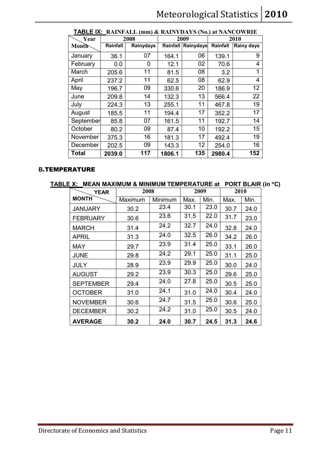| Year         | 2008     |           |          | 2009      | 2010     |            |
|--------------|----------|-----------|----------|-----------|----------|------------|
| Month        | Rainfall | Rainydays | Rainfall | Rainydays | Rainfall | Rainy days |
| January      | 36.1     | 07        | 164.1    | 06        | 139.1    | 9          |
| February     | 0.0      | 0         | 12.1     | 02        | 70.6     | 4          |
| March        | 205.6    | 11        | 81.5     | 08        | 3.2      | 1          |
| April        | 237.2    | 11        | 62.5     | 08        | 62.9     | 4          |
| May          | 196.7    | 09        | 330.6    | 20        | 186.9    | 12         |
| June         | 209.8    | 14        | 132.3    | 13        | 566.4    | 22         |
| July         | 224.3    | 13        | 255.1    | 11        | 467.8    | 19         |
| August       | 185.5    | 11        | 194.4    | 17        | 352.2    | 17         |
| September    | 85.8     | 07        | 161.5    | 11        | 192.7    | 14         |
| October      | 80.2     | 09        | 87.4     | 10        | 192.2    | 15         |
| November     | 375.3    | 16        | 181.3    | 17        | 492.4    | 19         |
| December     | 202.5    | 09        | 143.3    | 12        | 254.0    | 16         |
| <b>Total</b> | 2039.0   | 117       | 1806.1   | 135       | 2980.4   | 152        |

### **TABLE IX: RAINFALL (mm) & RAINYDAYS (No.) at NANCOWRIE**

### **B**.TEMPERATURE

### **TABLE X: MEAN MAXIMUM & MINIMUM TEMPERATURE at PORT BLAIR (in** °**C)**

| <b>YEAR</b>      | 2008    |         |      | 2009 | 2010 |      |
|------------------|---------|---------|------|------|------|------|
| <b>MONTH</b>     | Maximum | Minimum | Max. | Min. | Max. | Min. |
| <b>JANUARY</b>   | 30.2    | 23.4    | 30.1 | 23.0 | 30.7 | 24.0 |
| <b>FEBRUARY</b>  | 30.6    | 23.6    | 31.5 | 22.0 | 31.7 | 23.0 |
| <b>MARCH</b>     | 31.4    | 24.2    | 32.7 | 24.0 | 32.8 | 24.0 |
| <b>APRIL</b>     | 31.3    | 24.0    | 32.5 | 26.0 | 34.2 | 26.0 |
| <b>MAY</b>       | 29.7    | 23.9    | 31.4 | 25.0 | 33.1 | 26.0 |
| <b>JUNE</b>      | 29.8    | 24.2    | 29.1 | 25.0 | 31.1 | 25.0 |
| JULY             | 28.9    | 23.9    | 29.9 | 25.0 | 30.0 | 24.0 |
| <b>AUGUST</b>    | 29.2    | 23.9    | 30.3 | 25.0 | 29.6 | 25.0 |
| <b>SEPTEMBER</b> | 29.4    | 24.0    | 27.8 | 25.0 | 30.5 | 25.0 |
| <b>OCTOBER</b>   | 31.0    | 24.1    | 31.0 | 24.0 | 30.4 | 24.0 |
| <b>NOVEMBER</b>  | 30.6    | 24.7    | 31.5 | 25.0 | 30.6 | 25.0 |
| <b>DECEMBER</b>  | 30.2    | 24.2    | 31.0 | 25.0 | 30.5 | 24.0 |
| <b>AVERAGE</b>   | 30.2    | 24.0    | 30.7 | 24.5 | 31.3 | 24.6 |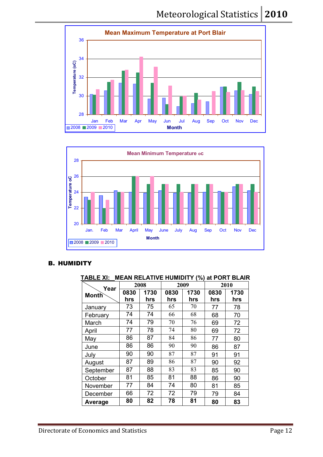



### B. HUMIDITY

### **TABLE XI: MEAN RELATIVE HUMIDITY (%) at PORT BLAIR**

| Year         |      | 2008 |      | 2009 |      | 2010 |  |
|--------------|------|------|------|------|------|------|--|
| <b>Month</b> | 0830 | 1730 | 0830 | 1730 | 0830 | 1730 |  |
|              | hrs  | hrs  | hrs  | hrs  | hrs  | hrs  |  |
| January      | 73   | 75   | 65   | 70   | 77   | 78   |  |
| February     | 74   | 74   | 66   | 68   | 68   | 70   |  |
| March        | 74   | 79   | 70   | 76   | 69   | 72   |  |
| April        | 77   | 78   | 74   | 80   | 69   | 72   |  |
| May          | 86   | 87   | 84   | 86   | 77   | 80   |  |
| June         | 86   | 86   | 90   | 90   | 86   | 87   |  |
| July         | 90   | 90   | 87   | 87   | 91   | 91   |  |
| August       | 87   | 89   | 86   | 87   | 90   | 92   |  |
| September    | 87   | 88   | 83   | 83   | 85   | 90   |  |
| October      | 81   | 85   | 81   | 88   | 86   | 90   |  |
| November     | 77   | 84   | 74   | 80   | 81   | 85   |  |
| December     | 66   | 72   | 72   | 79   | 79   | 84   |  |
| Average      | 80   | 82   | 78   | 81   | 80   | 83   |  |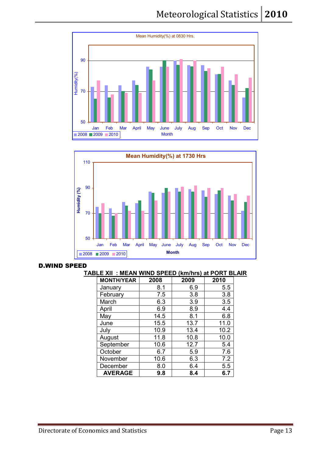



### D.WIND SPEED

### **TABLE XII : MEAN WIND SPEED (km/hrs) at PORT BLAIR**

| <b>MONTH/YEAR</b> | 2008 | 2009 | 2010 |
|-------------------|------|------|------|
| January           | 8.1  | 6.9  | 5.5  |
| February          | 7.5  | 3.8  | 3.8  |
| March             | 6.3  | 3.9  | 3.5  |
| April             | 6.9  | 8.9  | 4.4  |
| May               | 14.5 | 8.1  | 6.8  |
| June              | 15.5 | 13.7 | 11.0 |
| July              | 10.9 | 13.4 | 10.2 |
| August            | 11.8 | 10.8 | 10.0 |
| September         | 10.6 | 12.7 | 5.4  |
| October           | 6.7  | 5.9  | 7.6  |
| November          | 10.6 | 6.3  | 7.2  |
| December          | 8.0  | 6.4  | 5.5  |
| <b>AVERAGE</b>    | 9.8  | 8.4  | 6.7  |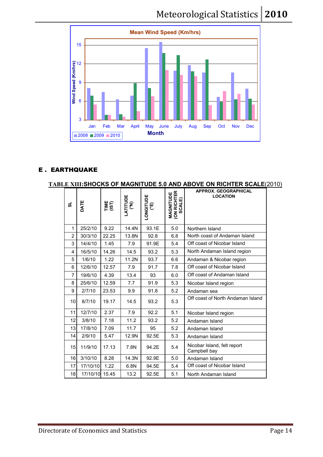### Meteorological Statistics 2010



### E . EARTHQUAKE

### **TABLE XIII:SHOCKS OF MAGNITUDE 5.0 AND ABOVE ON RICHTER SCALE**(2010)

| ದ              | DATE           | TIME<br>(IST) | LATITUDE<br>(°N) | LONGITUDE<br>(°E) | <b>MAGNITUDE<br/>(ON RICHTER<br/>SCALE)</b> | <b>APPROX. GEOGRAPHICAL</b><br><b>LOCATION</b> |
|----------------|----------------|---------------|------------------|-------------------|---------------------------------------------|------------------------------------------------|
| 1              | 25/2/10        | 9.22          | 14.4N            | 93.1E             | 5.0                                         | Northern Island                                |
| $\overline{2}$ | 30/3/10        | 22.25         | 13.8N            | 92.8              | 6.8                                         | North coast of Andaman Island                  |
| 3              | 14/4/10        | 1.45          | 7.9              | 91.9E             | 5.4                                         | Off coast of Nicobar Island                    |
| 4              | 16/5/10        | 14.26         | 14.5             | 93.2              | 5.3                                         | North Andaman Island region                    |
| 5              | 1/6/10         | 1.22          | 11.2N            | 93.7              | 6.6                                         | Andaman & Nicobar region                       |
| 6              | 12/6/10        | 12.57         | 7.9              | 91.7              | 7.8                                         | Off coast of Nicobar Island                    |
| $\overline{7}$ | 19/6/10        | 4.39          | 13.4             | 93                | 6.0                                         | Off coast of Andaman Island                    |
| 8              | 25/6/10        | 12.59         | 7.7              | 91.9              | 5.3                                         | Nicobar Island region                          |
| 9              | 2/7/10         | 23.53         | 9.9              | 91.8              | 5.2                                         | Andaman sea                                    |
| 10             | 8/7/10         | 19.17         | 14.5             | 93.2              | 5.3                                         | Off coast of North Andaman Island              |
| 11             | 12/7/10        | 2.37          | 7.9              | 92.2              | 5.1                                         | Nicobar Island region                          |
| 12             | 3/8/10         | 7.18          | 11.2             | 93.2              | 5.2                                         | Andaman Island                                 |
| 13             | 17/8/10        | 7.09          | 11.7             | 95                | 5.2                                         | Andaman Island                                 |
| 14             | 2/9/10         | 5.47          | 12.9N            | 92.5E             | 5.3                                         | Andaman Island                                 |
| 15             | 11/9/10        | 17.13         | 7.8N             | 94.2E             | 5.4                                         | Nicobar Island, felt report<br>Campbell bay    |
| 16             | 3/10/10        | 8.28          | 14.3N            | 92.9E             | 5.0                                         | Andaman Island                                 |
| 17             | 17/10/10       | 1.22          | 6.8N             | 94.5E             | 5.4                                         | Off coast of Nicobar Island                    |
| 18             | 17/10/10 15.45 |               | 13.2             | 92.5E             | 5.1                                         | North Andaman Island                           |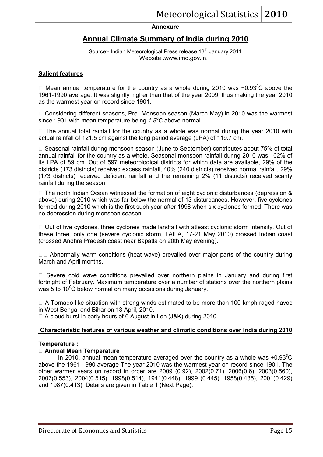### **Annexure**

### **Annual Climate Summary of India during 2010**

Source;- Indian Meteorological Press release 13<sup>th</sup> January 2011 Website .www.imd.gov.in.

### **Salient features**

L Mean annual temperature for the country as a whole during 2010 was +0.93*<sup>0</sup>*C above the 1961-1990 average. It was slightly higher than that of the year 2009, thus making the year 2010 as the warmest year on record since 1901.

L Considering different seasons, Pre- Monsoon season (March-May) in 2010 was the warmest since 1901 with mean temperature being *1.8<sup>0</sup>C* above normal

L The annual total rainfall for the country as a whole was normal during the year 2010 with actual rainfall of 121.5 cm against the long period average (LPA) of 119.7 cm.

L Seasonal rainfall during monsoon season (June to September) contributes about 75% of total annual rainfall for the country as a whole. Seasonal monsoon rainfall during 2010 was 102% of its LPA of 89 cm. Out of 597 meteorological districts for which data are available, 29% of the districts (173 districts) received excess rainfall, 40% (240 districts) received normal rainfall, 29% (173 districts) received deficient rainfall and the remaining 2% (11 districts) received scanty rainfall during the season.

L The north Indian Ocean witnessed the formation of eight cyclonic disturbances (depression & above) during 2010 which was far below the normal of 13 disturbances. However, five cyclones formed during 2010 which is the first such year after 1998 when six cyclones formed. There was no depression during monsoon season.

L Out of five cyclones, three cyclones made landfall with atleast cyclonic storm intensity. Out of these three, only one (severe cyclonic storm, LAILA, 17-21 May 2010) crossed Indian coast (crossed Andhra Pradesh coast near Bapatla on 20th May evening).

LL Abnormally warm conditions (heat wave) prevailed over major parts of the country during March and April months.

L Severe cold wave conditions prevailed over northern plains in January and during first fortnight of February. Maximum temperature over a number of stations over the northern plains was 5 to 10<sup>o</sup>C below normal on many occasions during January.

L A Tornado like situation with strong winds estimated to be more than 100 kmph raged havoc in West Bengal and Bihar on 13 April, 2010.

L A cloud burst in early hours of 6 August in Leh (J&K) during 2010.

### **Characteristic features of various weather and climatic conditions over India during 2010**

### **Temperature :**

### L **Annual Mean Temperature**

In 2010, annual mean temperature averaged over the country as a whole was +0.93*<sup>0</sup>*C above the 1961-1990 average The year 2010 was the warmest year on record since 1901. The other warmer years on record in order are 2009 (0.92), 2002(0.71), 2006(0.6), 2003(0.560), 2007(0.553), 2004(0.515), 1998(0.514), 1941(0.448), 1999 (0.445), 1958(0.435), 2001(0.429) and 1987(0.413). Details are given in Table 1 (Next Page).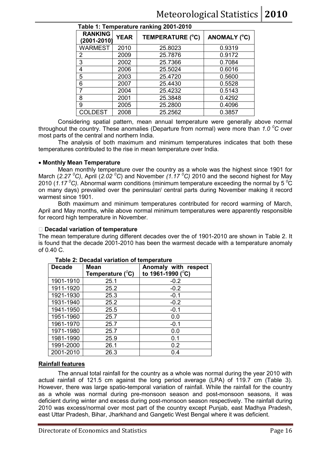| Table 1: Temperature ranking 2001-2010 |             |                         |              |  |  |  |
|----------------------------------------|-------------|-------------------------|--------------|--|--|--|
| <b>RANKING</b><br>(2001-2010)          | <b>YEAR</b> | <b>TEMPERATURE (°C)</b> | ANOMALY (°C) |  |  |  |
| <b>WARMEST</b>                         | 2010        | 25.8023                 | 0.9319       |  |  |  |
| $\overline{2}$                         | 2009        | 25.7876                 | 0.9172       |  |  |  |
| 3                                      | 2002        | 25.7366                 | 0.7084       |  |  |  |
| 4                                      | 2006        | 25.5024                 | 0.6016       |  |  |  |
| 5                                      | 2003        | 25.4720                 | 0.5600       |  |  |  |
| 6                                      | 2007        | 25.4430                 | 0.5528       |  |  |  |
| 7                                      | 2004        | 25.4232                 | 0.5143       |  |  |  |
| 8                                      | 2001        | 25.3848                 | 0.4292       |  |  |  |
| 9                                      | 2005        | 25.2800                 | 0.4096       |  |  |  |
| COLDEST                                | 2008        | 25.2562                 | 0.3857       |  |  |  |

Considering spatial pattern, mean annual temperature were generally above normal

The analysis of both maximum and minimum temperatures indicates that both these

Mean monthly temperature over the country as a whole was the highest since 1901 for

throughout the country. These anomalies (Departure from normal) were more than *1.0 <sup>0</sup>C* over

March (*2.27 <sup>0</sup>C)*, April (*2.02 <sup>0</sup>C*) and November *(1.17 <sup>0</sup>C)* 2010 and the second highest for May 2010 (*1.17 <sup>0</sup>C).* Abnormal warm conditions (minimum temperature exceeding the normal by 5 *<sup>0</sup>*C on many days) prevailed over the peninsular/ central parts during November making it record warmest since 1901.

temperatures contributed to the rise in mean temperature over India.

Both maximum and minimum temperatures contributed for record warming of March, April and May months, while above normal minimum temperatures were apparently responsible for record high temperature in November.

### L **Decadal variation of temperature**

• **Monthly Mean Temperature**

most parts of the central and northern India.

The mean temperature during different decades over the of 1901-2010 are shown in Table 2. It is found that the decade 2001-2010 has been the warmest decade with a temperature anomaly of 0.40 C. 

| <b>Decade</b> | <b>Mean</b>           | Anomaly with respect         |  |  |  |
|---------------|-----------------------|------------------------------|--|--|--|
|               | Temperature $(^{0}C)$ | to 1961-1990 ( $^{\circ}$ C) |  |  |  |
| 1901-1910     | 25.1                  | $-0.2$                       |  |  |  |
| 1911-1920     | 25.2                  | $-0.2$                       |  |  |  |
| 1921-1930     | 25.3                  | $-0.1$                       |  |  |  |
| 1931-1940     | 25.2                  | $-0.2$                       |  |  |  |
| 1941-1950     | 25.5                  | $-0.1$                       |  |  |  |
| 1951-1960     | 25.7                  | 0.0                          |  |  |  |
| 1961-1970     | 25.7                  | $-0.1$                       |  |  |  |
| 1971-1980     | 25.7                  | 0.0                          |  |  |  |
| 1981-1990     | 25.9                  | 0.1                          |  |  |  |
| 1991-2000     | 26.1                  | 0.2                          |  |  |  |
| 2001-2010     | 26.3                  | 0.4                          |  |  |  |

### **Table 2: Decadal variation of temperature**

### **Rainfall features**

The annual total rainfall for the country as a whole was normal during the year 2010 with actual rainfall of 121.5 cm against the long period average (LPA) of 119.7 cm (Table 3). However, there was large spatio-temporal variation of rainfall. While the rainfall for the country as a whole was normal during pre-monsoon season and post-monsoon seasons, it was deficient during winter and excess during post-monsoon season respectively. The rainfall during 2010 was excess/normal over most part of the country except Punjab, east Madhya Pradesh, east Uttar Pradesh, Bihar, Jharkhand and Gangetic West Bengal where it was deficient.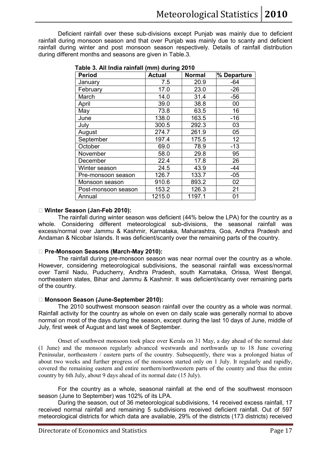Deficient rainfall over these sub-divisions except Punjab was mainly due to deficient rainfall during monsoon season and that over Punjab was mainly due to scanty and deficient rainfall during winter and post monsoon season respectively. Details of rainfall distribution during different months and seasons are given in Table.3.

| <b>Period</b>       | <b>Actual</b> | <b>Normal</b> | % Departure |
|---------------------|---------------|---------------|-------------|
| January             | 7.5           | 20.9          | $-64$       |
| February            | 17.0          | 23.0          | $-26$       |
| March               | 14.0          | 31.4          | $-56$       |
| April               | 39.0          | 38.8          | 00          |
| May                 | 73.8          | 63.5          | 16          |
| June                | 138.0         | 163.5         | $-16$       |
| July                | 300.5         | 292.3         | 03          |
| August              | 274.7         | 261.9         | 05          |
| September           | 197.4         | 175.5         | 12          |
| October             | 69.0          | 78.9          | $-13$       |
| November            | 58.0          | 29.8          | 95          |
| December            | 22.4          | 17.8          | 26          |
| Winter season       | 24.5          | 43.9          | -44         |
| Pre-monsoon season  | 126.7         | 133.7         | $-05$       |
| Monsoon season      | 910.6         | 893.2         | 02          |
| Post-monsoon season | 153.2         | 126.3         | 21          |
| Annual              | 1215.0        | 1197.1        | 01          |

 **Table 3. All India rainfall (mm) during 2010** 

### L **Winter Season (Jan-Feb 2010):**

 The rainfall during winter season was deficient (44% below the LPA) for the country as a whole. Considering different meteorological sub-divisions, the seasonal rainfall was excess/normal over Jammu & Kashmir, Karnataka, Maharashtra, Goa, Andhra Pradesh and Andaman & Nicobar Islands. It was deficient/scanty over the remaining parts of the country.

### L **Pre-Monsoon Seasons (March-May 2010):**

The rainfall during pre-monsoon season was near normal over the country as a whole. However, considering meteorological subdivisions, the seasonal rainfall was excess/normal over Tamil Nadu, Puducherry, Andhra Pradesh, south Karnataka, Orissa, West Bengal, northeastern states, Bihar and Jammu & Kashmir. It was deficient/scanty over remaining parts of the country.

### L **Monsoon Season (June-September 2010):**

The 2010 southwest monsoon season rainfall over the country as a whole was normal. Rainfall activity for the country as whole on even on daily scale was generally normal to above normal on most of the days during the season, except during the last 10 days of June, middle of July, first week of August and last week of September.

Onset of southwest monsoon took place over Kerala on 31 May, a day ahead of the normal date (1 June) and the monsoon regularly advanced westwards and northwards up to 18 June covering Peninsular, northeastern / eastern parts of the country. Subsequently, there was a prolonged hiatus of about two weeks and further progress of the monsoon started only on 1 July. It regularly and rapidly, covered the remaining eastern and entire northern/northwestern parts of the country and thus the entire country by 6th July, about 9 days ahead of its normal date (15 July).

For the country as a whole, seasonal rainfall at the end of the southwest monsoon season (June to September) was 102% of its LPA.

During the season, out of 36 meteorological subdivisions, 14 received excess rainfall, 17 received normal rainfall and remaining 5 subdivisions received deficient rainfall. Out of 597 meteorological districts for which data are available, 29% of the districts (173 districts) received